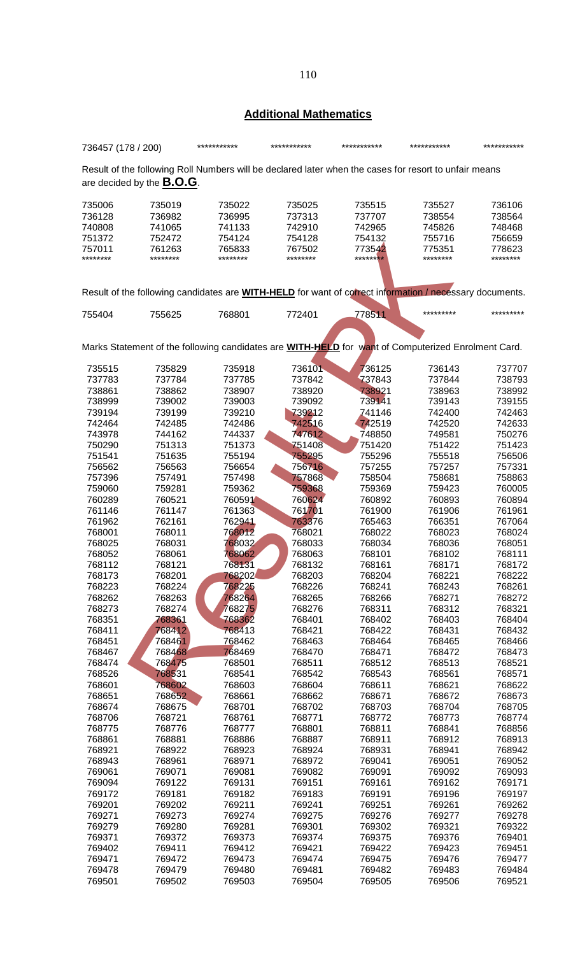## **Additional Mathematics**

| 736457 (178 / 200)                |          | ***********                                                                                                    | *********** | ***********            | *********** | *********** |
|-----------------------------------|----------|----------------------------------------------------------------------------------------------------------------|-------------|------------------------|-------------|-------------|
|                                   |          | Result of the following Roll Numbers will be declared later when the cases for resort to unfair means          |             |                        |             |             |
| are decided by the <b>B.O.G</b> . |          |                                                                                                                |             |                        |             |             |
| 735006                            | 735019   | 735022                                                                                                         | 735025      | 735515                 | 735527      | 736106      |
| 736128                            | 736982   | 736995                                                                                                         | 737313      | 737707                 | 738554      | 738564      |
| 740808                            | 741065   | 741133                                                                                                         | 742910      | 742965                 | 745826      | 748468      |
| 751372                            | 752472   | 754124                                                                                                         | 754128      | 754132                 | 755716      | 756659      |
| 757011                            | 761263   | 765833                                                                                                         | 767502      | 773542                 | 775351      | 778623      |
| ********                          | ******** | ********                                                                                                       | ********    | ****** <mark>**</mark> | ********    | ********    |
|                                   |          | Result of the following candidates are <b>WITH-HELD</b> for want of correct information / necessary documents. |             |                        |             |             |
|                                   |          |                                                                                                                |             |                        |             |             |
| 755404                            | 755625   | 768801                                                                                                         | 772401      | 778511                 | *********   | *********   |
|                                   |          | Marks Statement of the following candidates are WITH-HELD for want of Computerized Enrolment Card.             |             |                        |             |             |
|                                   |          |                                                                                                                |             |                        |             |             |
| 735515                            | 735829   | 735918                                                                                                         | 736101      | 736125                 | 736143      | 737707      |
| 737783                            | 737784   | 737785                                                                                                         | 737842      | 737843                 | 737844      | 738793      |
| 738861                            | 738862   | 738907                                                                                                         | 738920      | 738921                 | 738963      | 738992      |
| 738999                            | 739002   | 739003                                                                                                         | 739092      | 739141                 | 739143      | 739155      |
| 739194                            | 739199   | 739210                                                                                                         | 739212      | 741146                 | 742400      | 742463      |
| 742464                            | 742485   | 742486                                                                                                         | 742516      | 742519                 | 742520      | 742633      |
| 743978                            | 744162   | 744337                                                                                                         | 747612      | 748850                 | 749581      | 750276      |
| 750290                            | 751313   | 751373                                                                                                         | 751408      | 751420                 | 751422      | 751423      |
| 751541                            | 751635   | 755194                                                                                                         | 755295      | 755296                 | 755518      | 756506      |
| 756562                            | 756563   | 756654                                                                                                         | 756716      | 757255                 | 757257      | 757331      |
| 757396                            | 757491   | 757498                                                                                                         | 757868      | 758504                 | 758681      | 758863      |
| 759060                            | 759281   | 759362                                                                                                         | 759368      | 759369                 | 759423      | 760005      |
| 760289                            | 760521   | 760591                                                                                                         | 760624      | 760892                 | 760893      | 760894      |
| 761146                            | 761147   | 761363                                                                                                         | 761701      | 761900                 | 761906      | 761961      |
| 761962                            | 762161   | 762941                                                                                                         | 763376      | 765463                 | 766351      | 767064      |
| 768001                            | 768011   | 768012                                                                                                         | 768021      | 768022                 | 768023      | 768024      |
| 768025                            | 768031   | 768032                                                                                                         | 768033      | 768034                 | 768036      | 768051      |
|                                   |          |                                                                                                                |             |                        |             | 768111      |
| 768052                            | 768061   | 768062                                                                                                         | 768063      | 768101                 | 768102      |             |
| 768112                            | 768121   | 768131                                                                                                         | 768132      | 768161                 | 768171      | 768172      |
| 768173                            | 768201   | 768202                                                                                                         | 768203      | 768204                 | 768221      | 768222      |
| 768223                            | 768224   | 768225                                                                                                         | 768226      | 768241                 | 768243      | 768261      |
| 768262                            | 768263   | 768264                                                                                                         | 768265      | 768266                 | 768271      | 768272      |
| 768273                            | 768274   | 768275                                                                                                         | 768276      | 768311                 | 768312      | 768321      |
| 768351                            | 768361   | 768362                                                                                                         | 768401      | 768402                 | 768403      | 768404      |
| 768411                            | 768412   | 768413                                                                                                         | 768421      | 768422                 | 768431      | 768432      |
| 768451                            | 768461   | 768462                                                                                                         | 768463      | 768464                 | 768465      | 768466      |
| 768467                            | 768468   | 768469                                                                                                         | 768470      | 768471                 | 768472      | 768473      |
| 768474                            | 768475   | 768501                                                                                                         | 768511      | 768512                 | 768513      | 768521      |
| 768526                            | 768531   | 768541                                                                                                         | 768542      | 768543                 | 768561      | 768571      |
| 768601                            | 768602   | 768603                                                                                                         | 768604      | 768611                 | 768621      | 768622      |
| 768651                            | 768652   | 768661                                                                                                         | 768662      | 768671                 | 768672      | 768673      |
| 768674                            | 768675   | 768701                                                                                                         | 768702      | 768703                 | 768704      | 768705      |
| 768706                            | 768721   | 768761                                                                                                         | 768771      | 768772                 | 768773      | 768774      |
| 768775                            | 768776   | 768777                                                                                                         | 768801      | 768811                 | 768841      | 768856      |
| 768861                            | 768881   | 768886                                                                                                         | 768887      | 768911                 | 768912      | 768913      |
| 768921                            | 768922   | 768923                                                                                                         | 768924      | 768931                 | 768941      | 768942      |
|                                   |          |                                                                                                                |             |                        |             |             |
| 768943                            | 768961   | 768971                                                                                                         | 768972      | 769041                 | 769051      | 769052      |
| 769061                            | 769071   | 769081                                                                                                         | 769082      | 769091                 | 769092      | 769093      |
| 769094                            | 769122   | 769131                                                                                                         | 769151      | 769161                 | 769162      | 769171      |
| 769172                            | 769181   | 769182                                                                                                         | 769183      | 769191                 | 769196      | 769197      |
| 769201                            | 769202   | 769211                                                                                                         | 769241      | 769251                 | 769261      | 769262      |
| 769271                            | 769273   | 769274                                                                                                         | 769275      | 769276                 | 769277      | 769278      |
| 769279                            | 769280   | 769281                                                                                                         | 769301      | 769302                 | 769321      | 769322      |
| 769371                            | 769372   | 769373                                                                                                         | 769374      | 769375                 | 769376      | 769401      |
| 769402                            | 769411   | 769412                                                                                                         | 769421      | 769422                 | 769423      | 769451      |
| 769471                            | 769472   | 769473                                                                                                         | 769474      | 769475                 | 769476      | 769477      |
| 769478                            | 769479   | 769480                                                                                                         | 769481      | 769482                 | 769483      | 769484      |
| 769501                            | 769502   | 769503                                                                                                         | 769504      | 769505                 | 769506      | 769521      |
|                                   |          |                                                                                                                |             |                        |             |             |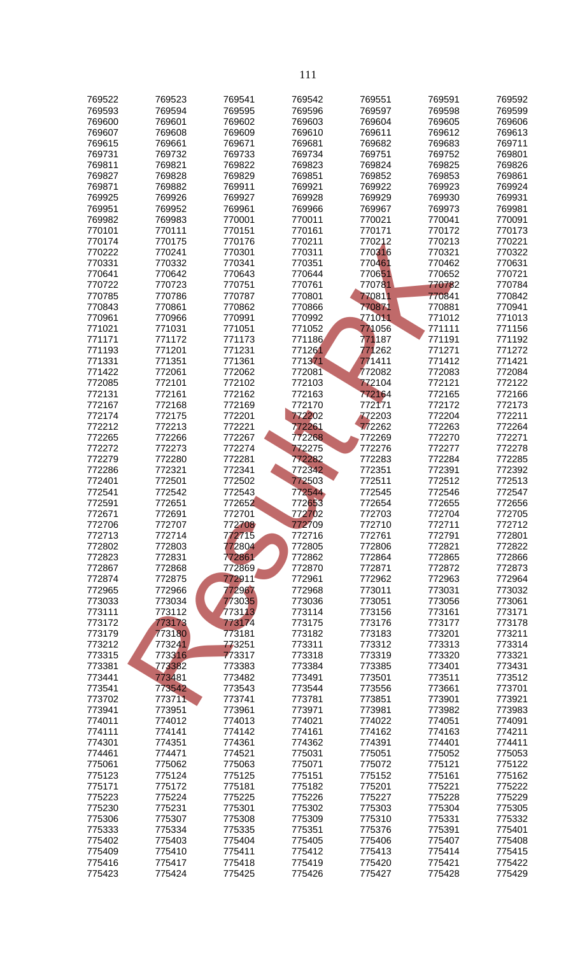| 769522           | 769523           | 769541           | 769542           | 769551           | 769591           | 769592           |
|------------------|------------------|------------------|------------------|------------------|------------------|------------------|
| 769593           | 769594           | 769595           | 769596           | 769597           | 769598           | 769599           |
| 769600           | 769601           | 769602           | 769603           | 769604           | 769605           | 769606           |
| 769607           | 769608           | 769609           | 769610           | 769611           | 769612           | 769613           |
| 769615           | 769661           | 769671           | 769681           | 769682           | 769683           | 769711           |
| 769731<br>769811 | 769732<br>769821 | 769733<br>769822 | 769734<br>769823 | 769751<br>769824 | 769752<br>769825 | 769801<br>769826 |
| 769827           | 769828           | 769829           | 769851           | 769852           | 769853           | 769861           |
| 769871           | 769882           | 769911           | 769921           | 769922           | 769923           | 769924           |
| 769925           | 769926           | 769927           | 769928           | 769929           | 769930           | 769931           |
| 769951           | 769952           | 769961           | 769966           | 769967           | 769973           | 769981           |
| 769982           | 769983           | 770001           | 770011           | 770021           | 770041           | 770091           |
| 770101<br>770174 | 770111<br>770175 | 770151<br>770176 | 770161<br>770211 | 770171<br>770212 | 770172<br>770213 | 770173<br>770221 |
| 770222           | 770241           | 770301           | 770311           | 770316           | 770321           | 770322           |
| 770331           | 770332           | 770341           | 770351           | 770461           | 770462           | 770631           |
| 770641           | 770642           | 770643           | 770644           | 770651           | 770652           | 770721           |
| 770722           | 770723           | 770751           | 770761           | 770781           | 770782           | 770784           |
| 770785           | 770786           | 770787           | 770801           | 770811           | 770841           | 770842           |
| 770843           | 770861           | 770862           | 770866           | 770871           | 770881           | 770941           |
| 770961<br>771021 | 770966<br>771031 | 770991<br>771051 | 770992<br>771052 | 771011<br>771056 | 771012<br>771111 | 771013<br>771156 |
| 771171           | 771172           | 771173           | 771186           | 771187           | 771191           | 771192           |
| 771193           | 771201           | 771231           | 771261           | 771262           | 771271           | 771272           |
| 771331           | 771351           | 771361           | 771371           | 771411           | 771412           | 771421           |
| 771422           | 772061           | 772062           | 772081           | 772082           | 772083           | 772084           |
| 772085           | 772101           | 772102           | 772103           | 772104           | 772121           | 772122           |
| 772131           | 772161           | 772162           | 772163           | 772164           | 772165           | 772166           |
| 772167           | 772168           | 772169           | 772170<br>772202 | 772171           | 772172           | 772173<br>772211 |
| 772174<br>772212 | 772175<br>772213 | 772201<br>772221 | 772261           | 772203<br>772262 | 772204<br>772263 | 772264           |
| 772265           | 772266           | 772267           | 772268           | 772269           | 772270           | 772271           |
| 772272           | 772273           | 772274           | 772275           | 772276           | 772277           | 772278           |
| 772279           | 772280           | 772281           | 772282           | 772283           | 772284           | 772285           |
| 772286           | 772321           | 772341           | 772342           | 772351           | 772391           | 772392           |
| 772401           | 772501           | 772502           | 772503           | 772511           | 772512           | 772513           |
| 772541<br>772591 | 772542<br>772651 | 772543<br>772652 | 772544<br>772653 | 772545<br>772654 | 772546<br>772655 | 772547<br>772656 |
| 772671           | 772691           | 772701           | 772702           | 772703           | 772704           | 772705           |
| 772706           | 772707           | 772708           | 772709           | 772710           | 772711           | 772712           |
| 772713           | 772714           | 772715           | 772716           | 772761           | 772791           | 772801           |
| 772802           | 772803           | 772804           | 772805           | 772806           | 772821           | 772822           |
| 772823           | 772831           | 772861           | 772862           | 772864           | 772865           | 772866           |
| 772867           | 772868           | 772869           | 772870           | 772871           | 772872           | 772873           |
| 772874           | 772875           | 772911<br>772967 | 772961<br>772968 | 772962<br>773011 | 772963           | 772964<br>773032 |
| 772965<br>773033 | 772966<br>773034 | 773035           | 773036           | 773051           | 773031<br>773056 | 773061           |
| 773111           | 773112           | 773113           | 773114           | 773156           | 773161           | 773171           |
| 773172           | 773173           | 773174           | 773175           | 773176           | 773177           | 773178           |
| 773179           | 773180           | 773181           | 773182           | 773183           | 773201           | 773211           |
| 773212           | 773241           | 773251           | 773311           | 773312           | 773313           | 773314           |
| 773315           | 773316           | 773317           | 773318           | 773319           | 773320           | 773321           |
| 773381<br>773441 | 773382<br>773481 | 773383<br>773482 | 773384<br>773491 | 773385<br>773501 | 773401<br>773511 | 773431<br>773512 |
| 773541           | 773542           | 773543           | 773544           | 773556           | 773661           | 773701           |
| 773702           | 773711           | 773741           | 773781           | 773851           | 773901           | 773921           |
| 773941           | 773951           | 773961           | 773971           | 773981           | 773982           | 773983           |
| 774011           | 774012           | 774013           | 774021           | 774022           | 774051           | 774091           |
| 774111           | 774141           | 774142           | 774161           | 774162           | 774163           | 774211           |
| 774301           | 774351           | 774361           | 774362           | 774391           | 774401           | 774411           |
| 774461           | 774471           | 774521           | 775031           | 775051           | 775052           | 775053           |
| 775061<br>775123 | 775062<br>775124 | 775063<br>775125 | 775071<br>775151 | 775072<br>775152 | 775121<br>775161 | 775122<br>775162 |
| 775171           | 775172           | 775181           | 775182           | 775201           | 775221           | 775222           |
| 775223           | 775224           | 775225           | 775226           | 775227           | 775228           | 775229           |
| 775230           | 775231           | 775301           | 775302           | 775303           | 775304           | 775305           |
| 775306           | 775307           | 775308           | 775309           | 775310           | 775331           | 775332           |
| 775333           | 775334           | 775335           | 775351           | 775376           | 775391           | 775401           |
| 775402           | 775403           | 775404           | 775405           | 775406<br>775413 | 775407           | 775408           |
| 775409<br>775416 | 775410<br>775417 | 775411<br>775418 | 775412<br>775419 | 775420           | 775414<br>775421 | 775415<br>775422 |
| 775423           | 775424           | 775425           | 775426           | 775427           | 775428           | 775429           |
|                  |                  |                  |                  |                  |                  |                  |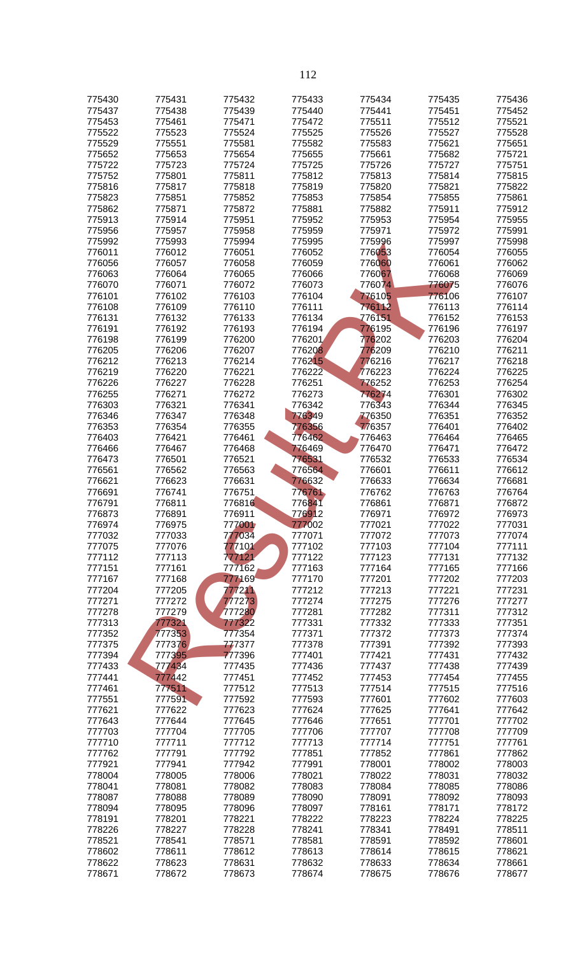| 775430           | 775431           | 775432           | 775433           | 775434           | 775435           | 775436           |
|------------------|------------------|------------------|------------------|------------------|------------------|------------------|
| 775437           | 775438           | 775439           | 775440           | 775441           | 775451           | 775452           |
| 775453           | 775461           | 775471           | 775472           | 775511           | 775512           | 775521           |
| 775522           | 775523           | 775524           | 775525           | 775526           | 775527           | 775528           |
| 775529           | 775551           | 775581           | 775582           | 775583           | 775621           | 775651           |
| 775652           | 775653           | 775654           | 775655           | 775661           | 775682           | 775721           |
| 775722<br>775752 | 775723<br>775801 | 775724<br>775811 | 775725<br>775812 | 775726<br>775813 | 775727<br>775814 | 775751<br>775815 |
| 775816           | 775817           | 775818           | 775819           | 775820           | 775821           | 775822           |
| 775823           | 775851           | 775852           | 775853           | 775854           | 775855           | 775861           |
| 775862           | 775871           | 775872           | 775881           | 775882           | 775911           | 775912           |
| 775913           | 775914           | 775951           | 775952           | 775953           | 775954           | 775955           |
| 775956           | 775957           | 775958           | 775959           | 775971           | 775972           | 775991           |
| 775992<br>776011 | 775993<br>776012 | 775994<br>776051 | 775995<br>776052 | 775996<br>776053 | 775997<br>776054 | 775998<br>776055 |
| 776056           | 776057           | 776058           | 776059           | 776060           | 776061           | 776062           |
| 776063           | 776064           | 776065           | 776066           | 776067           | 776068           | 776069           |
| 776070           | 776071           | 776072           | 776073           | 776074           | 776075           | 776076           |
| 776101           | 776102           | 776103           | 776104           | 776105           | 776106           | 776107           |
| 776108           | 776109           | 776110           | 776111           | 776112<br>776151 | 776113           | 776114           |
| 776131<br>776191 | 776132<br>776192 | 776133<br>776193 | 776134<br>776194 | 776195           | 776152<br>776196 | 776153<br>776197 |
| 776198           | 776199           | 776200           | 776201           | 776202           | 776203           | 776204           |
| 776205           | 776206           | 776207           | 776208           | 776209           | 776210           | 776211           |
| 776212           | 776213           | 776214           | 776215           | 776216           | 776217           | 776218           |
| 776219           | 776220           | 776221           | 776222           | 776223           | 776224           | 776225           |
| 776226           | 776227           | 776228           | 776251           | 776252           | 776253           | 776254           |
| 776255<br>776303 | 776271<br>776321 | 776272<br>776341 | 776273<br>776342 | 776274<br>776343 | 776301<br>776344 | 776302<br>776345 |
| 776346           | 776347           | 776348           | 776349           | 776350           | 776351           | 776352           |
| 776353           | 776354           | 776355           | 776356           | 776357           | 776401           | 776402           |
| 776403           | 776421           | 776461           | 776462           | 776463           | 776464           | 776465           |
| 776466           | 776467           | 776468           | 776469           | 776470           | 776471           | 776472           |
| 776473           | 776501           | 776521           | 776531           | 776532           | 776533           | 776534           |
| 776561           | 776562           | 776563           | 776564           | 776601           | 776611<br>776634 | 776612           |
| 776621<br>776691 | 776623<br>776741 | 776631<br>776751 | 776632<br>776761 | 776633<br>776762 | 776763           | 776681<br>776764 |
| 776791           | 776811           | 776816           | 776841           | 776861           | 776871           | 776872           |
| 776873           | 776891           | 776911           | 776912           | 776971           | 776972           | 776973           |
| 776974           | 776975           | 777001           | 777002           | 777021           | 777022           | 777031           |
| 777032           | 777033           | 777034           | 777071           | 777072           | 777073           | 777074           |
| 777075<br>777112 | 777076<br>777113 | 777101<br>777121 | 777102<br>777122 | 777103<br>777123 | 777104<br>777131 | 777111<br>777132 |
| 777151           | 777161           | 777162           | 777163           | 777164           | 777165           | 777166           |
| 777167           | 777168           | 777169           | 777170           | 777201           | 777202           | 777203           |
| 777204           | 777205           | 777211           | 777212           | 777213           | 777221           | 777231           |
| 777271           | 777272           | 777273           | 777274           | 777275           | 777276           | 777277           |
| 777278           | 777279           | 777280           | 777281           | 777282           | 777311           | 777312           |
| 777313<br>777352 | 777321<br>777353 | 777322<br>777354 | 777331<br>777371 | 777332<br>777372 | 777333<br>777373 | 777351<br>777374 |
| 777375           | 777376           | 777377           | 777378           | 777391           | 777392           | 777393           |
| 777394           | 777395           | 777396           | 777401           | 777421           | 777431           | 777432           |
| 777433           | 777434           | 777435           | 777436           | 777437           | 777438           | 777439           |
| 777441           | 777442           | 777451           | 777452           | 777453           | 777454           | 777455           |
| 777461           | 777511           | 777512           | 777513           | 777514           | 777515           | 777516           |
| 777551<br>777621 | 777591<br>777622 | 777592<br>777623 | 777593<br>777624 | 777601<br>777625 | 777602<br>777641 | 777603<br>777642 |
| 777643           | 777644           | 777645           | 777646           | 777651           | 777701           | 777702           |
| 777703           | 777704           | 777705           | 777706           | 777707           | 777708           | 777709           |
| 777710           | 777711           | 777712           | 777713           | 777714           | 777751           | 777761           |
| 777762           | 777791           | 777792           | 777851           | 777852           | 777861           | 777862           |
| 777921           | 777941           | 777942           | 777991           | 778001           | 778002           | 778003           |
| 778004<br>778041 | 778005<br>778081 | 778006<br>778082 | 778021<br>778083 | 778022<br>778084 | 778031<br>778085 | 778032<br>778086 |
| 778087           | 778088           | 778089           | 778090           | 778091           | 778092           | 778093           |
| 778094           | 778095           | 778096           | 778097           | 778161           | 778171           | 778172           |
| 778191           | 778201           | 778221           | 778222           | 778223           | 778224           | 778225           |
| 778226           | 778227           | 778228           | 778241           | 778341           | 778491           | 778511           |
| 778521           | 778541           | 778571           | 778581           | 778591           | 778592           | 778601           |
| 778602<br>778622 | 778611<br>778623 | 778612<br>778631 | 778613<br>778632 | 778614<br>778633 | 778615<br>778634 | 778621<br>778661 |
| 778671           | 778672           | 778673           | 778674           | 778675           | 778676           | 778677           |
|                  |                  |                  |                  |                  |                  |                  |